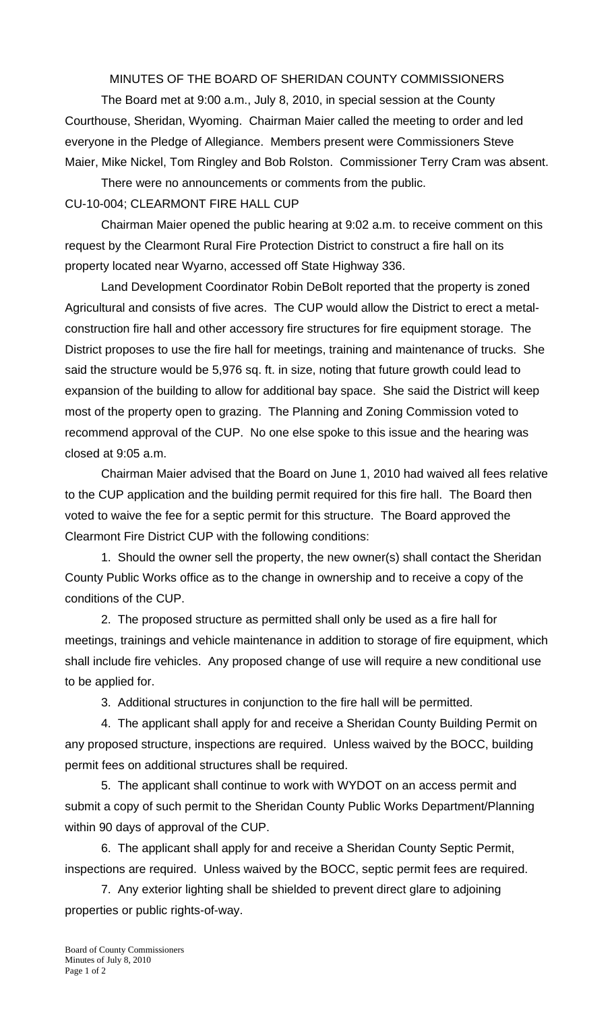MINUTES OF THE BOARD OF SHERIDAN COUNTY COMMISSIONERS

 The Board met at 9:00 a.m., July 8, 2010, in special session at the County Courthouse, Sheridan, Wyoming. Chairman Maier called the meeting to order and led everyone in the Pledge of Allegiance. Members present were Commissioners Steve Maier, Mike Nickel, Tom Ringley and Bob Rolston. Commissioner Terry Cram was absent.

There were no announcements or comments from the public. CU-10-004; CLEARMONT FIRE HALL CUP

 Chairman Maier opened the public hearing at 9:02 a.m. to receive comment on this request by the Clearmont Rural Fire Protection District to construct a fire hall on its property located near Wyarno, accessed off State Highway 336.

 Land Development Coordinator Robin DeBolt reported that the property is zoned Agricultural and consists of five acres. The CUP would allow the District to erect a metalconstruction fire hall and other accessory fire structures for fire equipment storage. The District proposes to use the fire hall for meetings, training and maintenance of trucks. She said the structure would be 5,976 sq. ft. in size, noting that future growth could lead to expansion of the building to allow for additional bay space. She said the District will keep most of the property open to grazing. The Planning and Zoning Commission voted to recommend approval of the CUP. No one else spoke to this issue and the hearing was closed at 9:05 a.m.

 Chairman Maier advised that the Board on June 1, 2010 had waived all fees relative to the CUP application and the building permit required for this fire hall. The Board then voted to waive the fee for a septic permit for this structure. The Board approved the Clearmont Fire District CUP with the following conditions:

 1. Should the owner sell the property, the new owner(s) shall contact the Sheridan County Public Works office as to the change in ownership and to receive a copy of the conditions of the CUP.

 2. The proposed structure as permitted shall only be used as a fire hall for meetings, trainings and vehicle maintenance in addition to storage of fire equipment, which shall include fire vehicles. Any proposed change of use will require a new conditional use to be applied for.

3. Additional structures in conjunction to the fire hall will be permitted.

 4. The applicant shall apply for and receive a Sheridan County Building Permit on any proposed structure, inspections are required. Unless waived by the BOCC, building permit fees on additional structures shall be required.

 5. The applicant shall continue to work with WYDOT on an access permit and submit a copy of such permit to the Sheridan County Public Works Department/Planning within 90 days of approval of the CUP.

 6. The applicant shall apply for and receive a Sheridan County Septic Permit, inspections are required. Unless waived by the BOCC, septic permit fees are required.

 7. Any exterior lighting shall be shielded to prevent direct glare to adjoining properties or public rights-of-way.